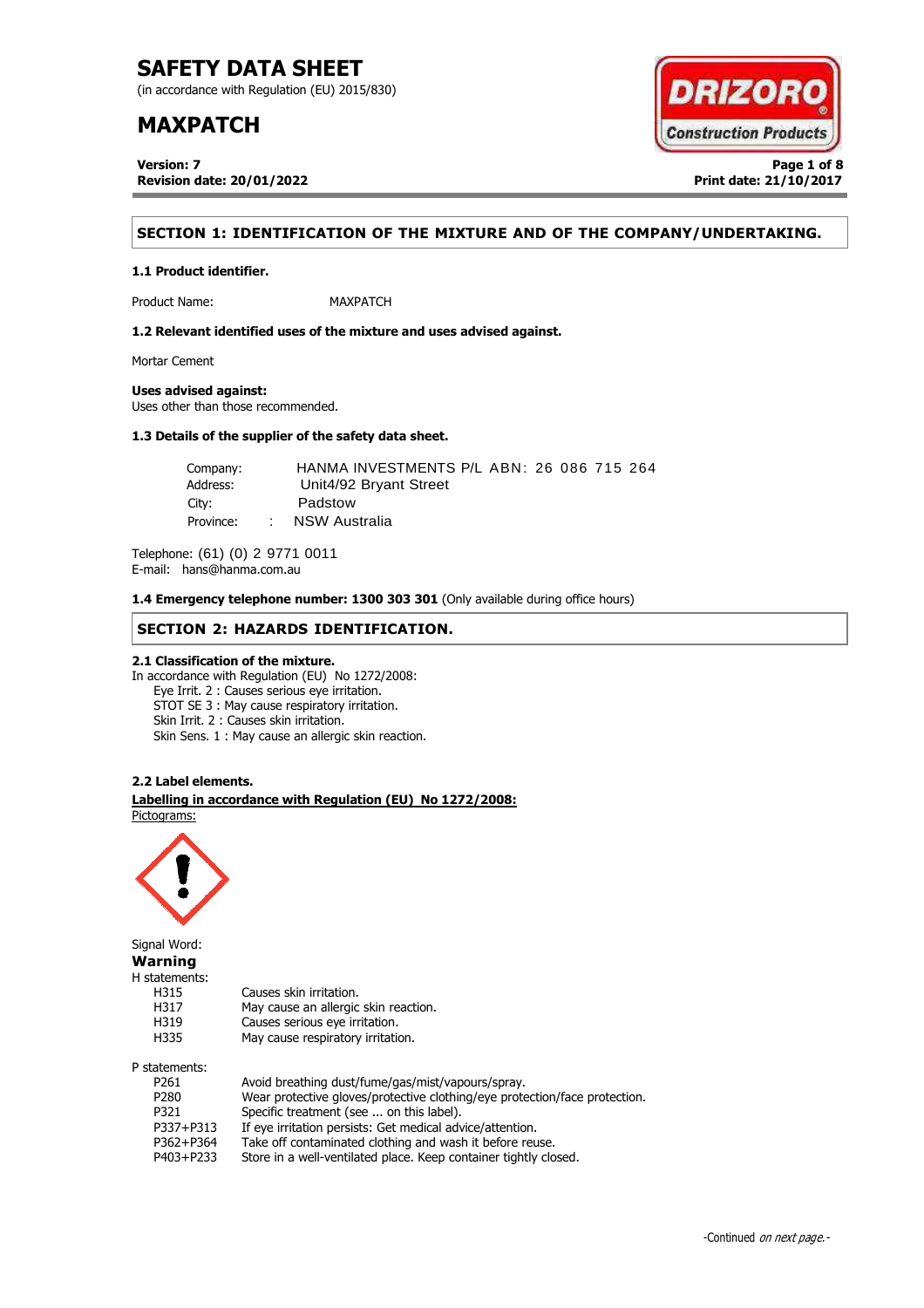(in accordance with Regulation (EU) 2015/830)

## **MAXPATCH**

**Version: 7 Page 1 of 8 Revision date: 20/01/2022 Print date: 21/10/2017**



## **SECTION 1: IDENTIFICATION OF THE MIXTURE AND OF THE COMPANY/UNDERTAKING.**

**1.1 Product identifier.**

Product Name: MAXPATCH

**1.2 Relevant identified uses of the mixture and uses advised against.**

Mortar Cement

## **Uses advised against:**

Uses other than those recommended.

## **1.3 Details of the supplier of the safety data sheet.**

| Company:  |        | HANMA INVESTMENTS P/L ABN: 26 086 715 264 |
|-----------|--------|-------------------------------------------|
| Address:  |        | Unit4/92 Bryant Street                    |
| City:     |        | Padstow                                   |
| Province: | $\sim$ | NSW Australia                             |

Telephone: (61) (0) 2 9771 0011 E-mail: hans@hanma.com.au

**1.4 Emergency telephone number: 1300 303 301** (Only available during office hours)

## **SECTION 2: HAZARDS IDENTIFICATION.**

## **2.1 Classification of the mixture.**

In accordance with Regulation (EU) No 1272/2008: Eye Irrit. 2 : Causes serious eye irritation. STOT SE 3 : May cause respiratory irritation. Skin Irrit. 2 : Causes skin irritation. Skin Sens. 1 : May cause an allergic skin reaction.

### **2.2 Label elements.**

. **Labelling in accordance with Regulation (EU) No 1272/2008:** Pictograms:



Signal Word: **Warning** H statements: H315 Causes skin irritation. H317 May cause an allergic skin reaction. H319 Causes serious eye irritation. H335 May cause respiratory irritation. P statements:

| alements:        |                                                                            |
|------------------|----------------------------------------------------------------------------|
| P <sub>261</sub> | Avoid breathing dust/fume/gas/mist/vapours/spray.                          |
| P280             | Wear protective gloves/protective clothing/eye protection/face protection. |
| P321             | Specific treatment (see  on this label).                                   |
| P337+P313        | If eye irritation persists: Get medical advice/attention.                  |
| P362+P364        | Take off contaminated clothing and wash it before reuse.                   |
| P403+P233        | Store in a well-ventilated place. Keep container tightly closed.           |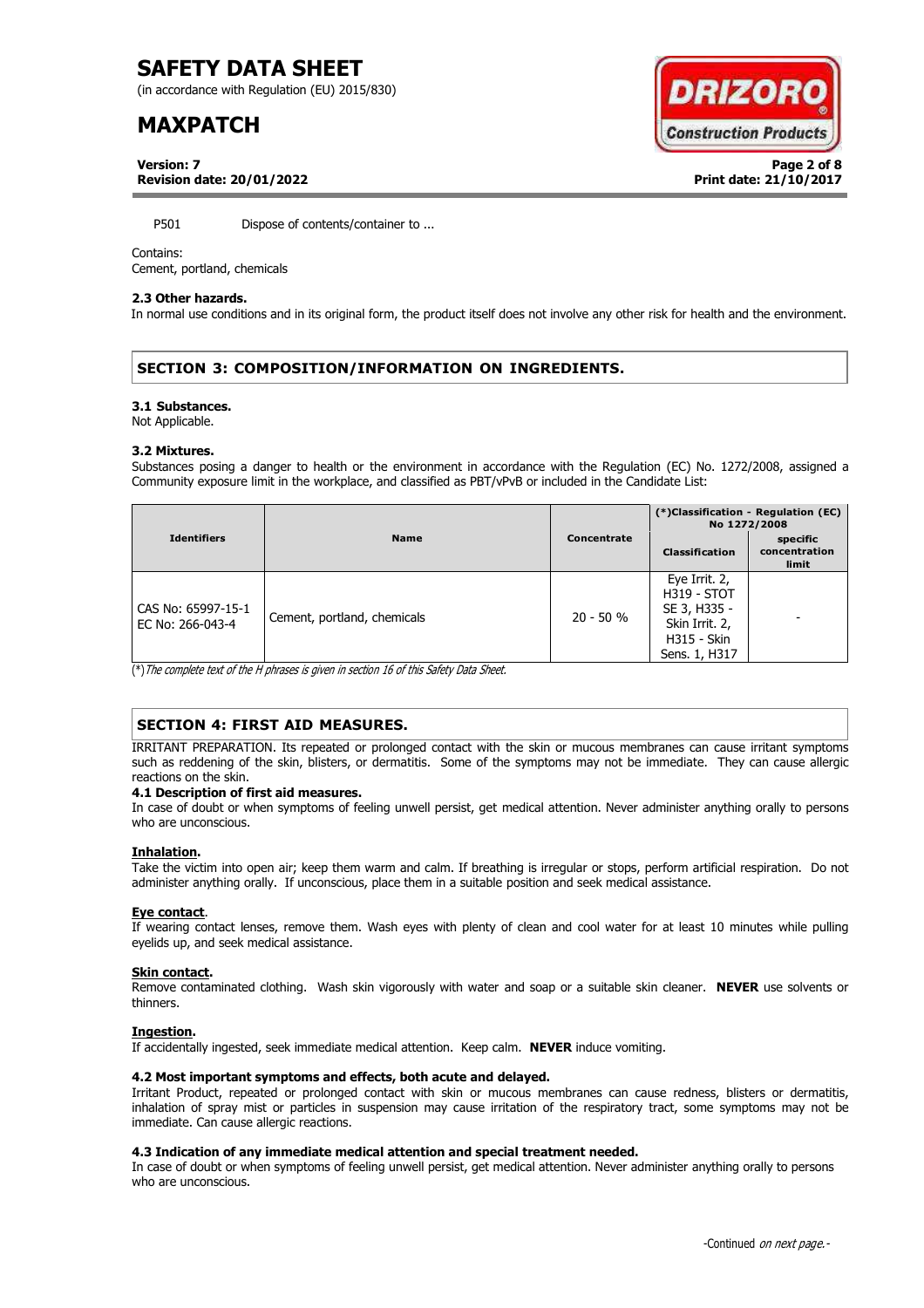(in accordance with Regulation (EU) 2015/830)

## **MAXPATCH**



**Version: 7 Page 2 of 8 Revision date: 20/01/2022 Print date: 21/10/2017**

P501 Dispose of contents/container to ...

### Contains:

Cement, portland, chemicals

## **2.3 Other hazards.**

In normal use conditions and in its original form, the product itself does not involve any other risk for health and the environment.

## **SECTION 3: COMPOSITION/INFORMATION ON INGREDIENTS.**

### **3.1 Substances.**

Not Applicable.

### **3.2 Mixtures.**

Substances posing a danger to health or the environment in accordance with the Regulation (EC) No. 1272/2008, assigned a Community exposure limit in the workplace, and classified as PBT/vPvB or included in the Candidate List:

|                                        |                             |             | (*)Classification - Regulation (EC)<br>No 1272/2008                                                          |                                    |
|----------------------------------------|-----------------------------|-------------|--------------------------------------------------------------------------------------------------------------|------------------------------------|
| <b>Identifiers</b>                     | <b>Name</b>                 | Concentrate | <b>Classification</b>                                                                                        | specific<br>concentration<br>limit |
| CAS No: 65997-15-1<br>EC No: 266-043-4 | Cement, portland, chemicals | $20 - 50 %$ | Eye Irrit. 2,<br><b>H319 - STOT</b><br>SE 3, H335 -<br>Skin Irrit. 2,<br><b>H315 - Skin</b><br>Sens. 1, H317 |                                    |

(\*)The complete text of the H phrases is given in section 16 of this Safety Data Sheet.

## **SECTION 4: FIRST AID MEASURES.**

IRRITANT PREPARATION. Its repeated or prolonged contact with the skin or mucous membranes can cause irritant symptoms such as reddening of the skin, blisters, or dermatitis. Some of the symptoms may not be immediate. They can cause allergic reactions on the skin.

### **4.1 Description of first aid measures.**

In case of doubt or when symptoms of feeling unwell persist, get medical attention. Never administer anything orally to persons who are unconscious.

### **Inhalation.**

Take the victim into open air; keep them warm and calm. If breathing is irregular or stops, perform artificial respiration. Do not administer anything orally. If unconscious, place them in a suitable position and seek medical assistance.

### **Eye contact**.

If wearing contact lenses, remove them. Wash eyes with plenty of clean and cool water for at least 10 minutes while pulling eyelids up, and seek medical assistance.

### **Skin contact.**

Remove contaminated clothing. Wash skin vigorously with water and soap or a suitable skin cleaner. **NEVER** use solvents or thinners.

### **Ingestion.**

If accidentally ingested, seek immediate medical attention. Keep calm. **NEVER** induce vomiting.

## **4.2 Most important symptoms and effects, both acute and delayed.**

Irritant Product, repeated or prolonged contact with skin or mucous membranes can cause redness, blisters or dermatitis, inhalation of spray mist or particles in suspension may cause irritation of the respiratory tract, some symptoms may not be immediate. Can cause allergic reactions.

### **4.3 Indication of any immediate medical attention and special treatment needed.**

In case of doubt or when symptoms of feeling unwell persist, get medical attention. Never administer anything orally to persons who are unconscious.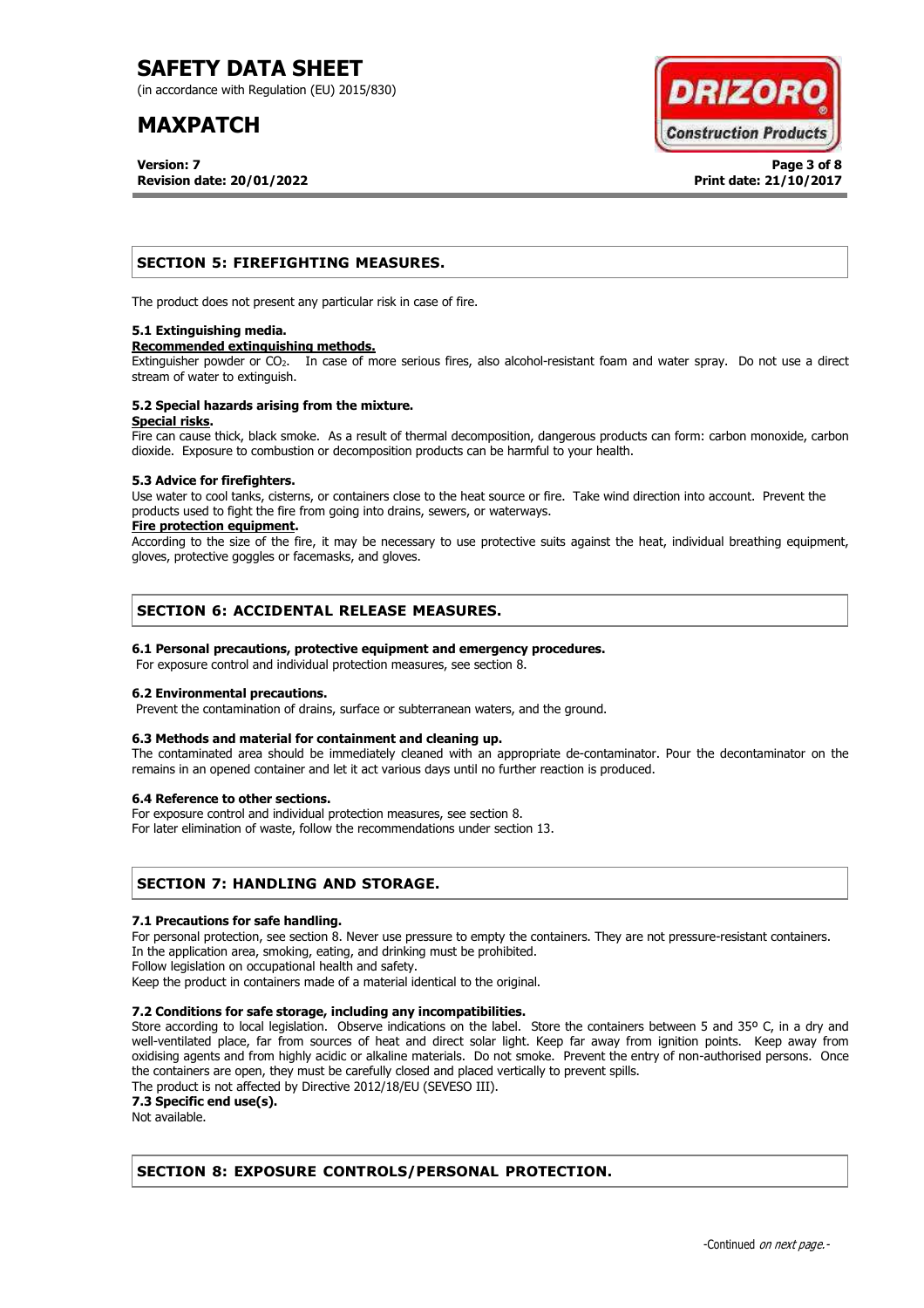(in accordance with Regulation (EU) 2015/830)

## **MAXPATCH**

**Version: 7 Page 3 of 8 Revision date: 20/01/2022 Print date: 21/10/2017**



## **SECTION 5: FIREFIGHTING MEASURES.**

The product does not present any particular risk in case of fire.

### **5.1 Extinguishing media.**

### **Recommended extinguishing methods.**

Extinguisher powder or CO<sub>2</sub>. In case of more serious fires, also alcohol-resistant foam and water spray. Do not use a direct stream of water to extinguish.

#### **5.2 Special hazards arising from the mixture. Special risks.**

Fire can cause thick, black smoke. As a result of thermal decomposition, dangerous products can form: carbon monoxide, carbon dioxide. Exposure to combustion or decomposition products can be harmful to your health.

### **5.3 Advice for firefighters.**

Use water to cool tanks, cisterns, or containers close to the heat source or fire. Take wind direction into account. Prevent the products used to fight the fire from going into drains, sewers, or waterways.

### **Fire protection equipment.**

According to the size of the fire, it may be necessary to use protective suits against the heat, individual breathing equipment, gloves, protective goggles or facemasks, and gloves.

## **SECTION 6: ACCIDENTAL RELEASE MEASURES.**

## **6.1 Personal precautions, protective equipment and emergency procedures.**

For exposure control and individual protection measures, see section 8.

## **6.2 Environmental precautions.**

Prevent the contamination of drains, surface or subterranean waters, and the ground.

## **6.3 Methods and material for containment and cleaning up.**

The contaminated area should be immediately cleaned with an appropriate de-contaminator. Pour the decontaminator on the remains in an opened container and let it act various days until no further reaction is produced.

### **6.4 Reference to other sections.**

For exposure control and individual protection measures, see section 8.

For later elimination of waste, follow the recommendations under section 13.

## **SECTION 7: HANDLING AND STORAGE.**

### **7.1 Precautions for safe handling.**

For personal protection, see section 8. Never use pressure to empty the containers. They are not pressure-resistant containers. In the application area, smoking, eating, and drinking must be prohibited.

Follow legislation on occupational health and safety.

Keep the product in containers made of a material identical to the original.

## **7.2 Conditions for safe storage, including any incompatibilities.**

Store according to local legislation. Observe indications on the label. Store the containers between 5 and 35° C, in a dry and well-ventilated place, far from sources of heat and direct solar light. Keep far away from ignition points. Keep away from oxidising agents and from highly acidic or alkaline materials. Do not smoke. Prevent the entry of non-authorised persons. Once the containers are open, they must be carefully closed and placed vertically to prevent spills.

The product is not affected by Directive 2012/18/EU (SEVESO III).

**7.3 Specific end use(s).**

Not available.

## **SECTION 8: EXPOSURE CONTROLS/PERSONAL PROTECTION.**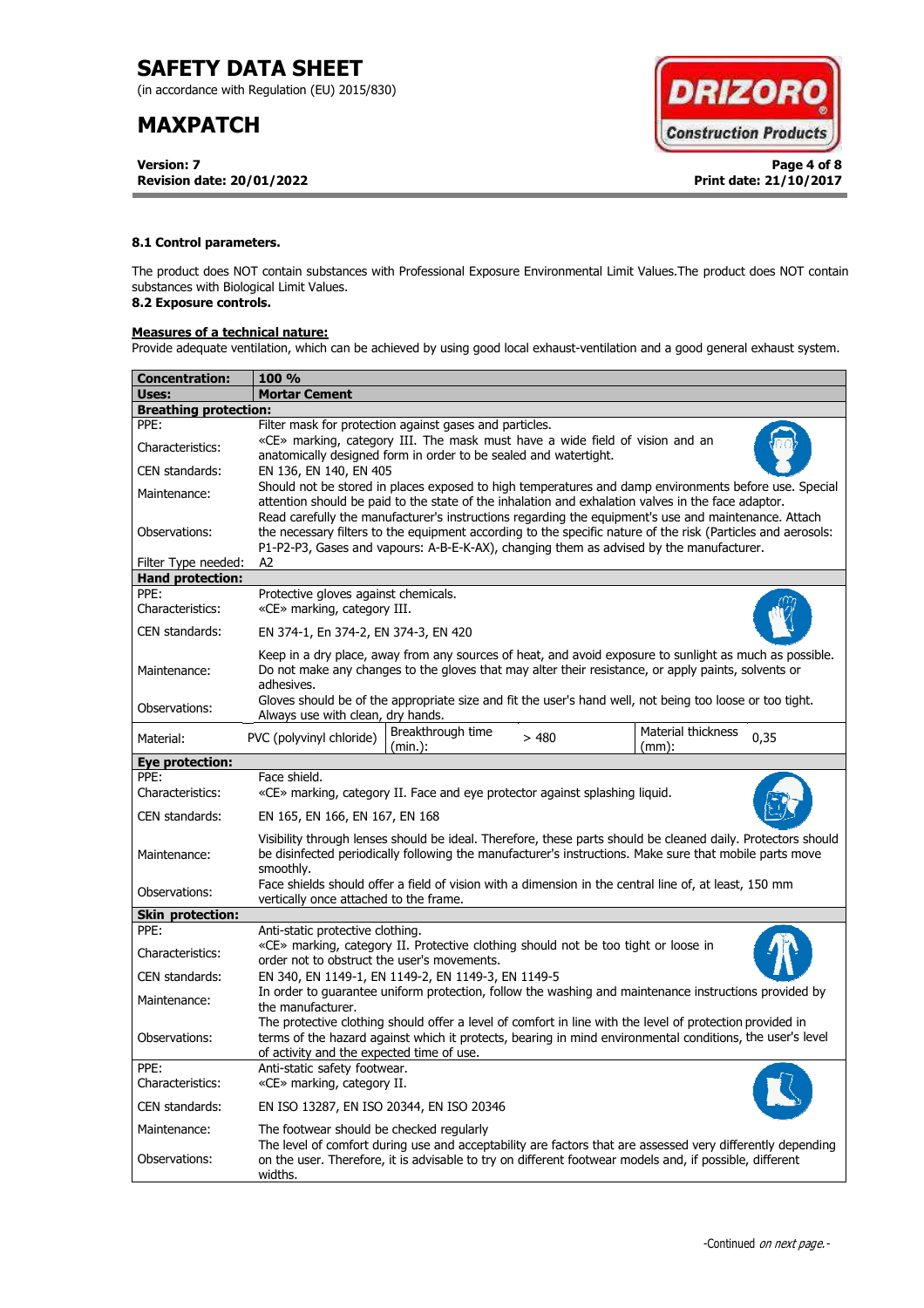(in accordance with Regulation (EU) 2015/830)

# **MAXPATCH**

**Version: 7 Page 4 of 8 Revision date: 20/01/2022 Print date: 21/10/2017**



## **8.1 Control parameters.**

The product does NOT contain substances with Professional Exposure Environmental Limit Values.The product does NOT contain substances with Biological Limit Values.

## **8.2 Exposure controls.**

## **Measures of a technical nature:**

Provide adequate ventilation, which can be achieved by using good local exhaust-ventilation and a good general exhaust system.

| <b>Concentration:</b>        | <b>100 %</b>                                                                                                                                                                                                                                                                                                        |  |  |  |  |  |  |
|------------------------------|---------------------------------------------------------------------------------------------------------------------------------------------------------------------------------------------------------------------------------------------------------------------------------------------------------------------|--|--|--|--|--|--|
| Uses:                        | <b>Mortar Cement</b>                                                                                                                                                                                                                                                                                                |  |  |  |  |  |  |
| <b>Breathing protection:</b> |                                                                                                                                                                                                                                                                                                                     |  |  |  |  |  |  |
| PPE:                         | Filter mask for protection against gases and particles.                                                                                                                                                                                                                                                             |  |  |  |  |  |  |
| Characteristics:             | «CE» marking, category III. The mask must have a wide field of vision and an<br>anatomically designed form in order to be sealed and watertight.                                                                                                                                                                    |  |  |  |  |  |  |
| CEN standards:               | EN 136, EN 140, EN 405                                                                                                                                                                                                                                                                                              |  |  |  |  |  |  |
| Maintenance:                 | Should not be stored in places exposed to high temperatures and damp environments before use. Special<br>attention should be paid to the state of the inhalation and exhalation valves in the face adaptor.<br>Read carefully the manufacturer's instructions regarding the equipment's use and maintenance. Attach |  |  |  |  |  |  |
| Observations:                | the necessary filters to the equipment according to the specific nature of the risk (Particles and aerosols:<br>P1-P2-P3, Gases and vapours: A-B-E-K-AX), changing them as advised by the manufacturer.                                                                                                             |  |  |  |  |  |  |
| Filter Type needed:          | A2                                                                                                                                                                                                                                                                                                                  |  |  |  |  |  |  |
| <b>Hand protection:</b>      |                                                                                                                                                                                                                                                                                                                     |  |  |  |  |  |  |
| PPE:<br>Characteristics:     | Protective gloves against chemicals.<br>«CE» marking, category III.                                                                                                                                                                                                                                                 |  |  |  |  |  |  |
| CEN standards:               | EN 374-1, En 374-2, EN 374-3, EN 420                                                                                                                                                                                                                                                                                |  |  |  |  |  |  |
| Maintenance:                 | Keep in a dry place, away from any sources of heat, and avoid exposure to sunlight as much as possible.<br>Do not make any changes to the gloves that may alter their resistance, or apply paints, solvents or<br>adhesives.                                                                                        |  |  |  |  |  |  |
| Observations:                | Gloves should be of the appropriate size and fit the user's hand well, not being too loose or too tight.<br>Always use with clean, dry hands.                                                                                                                                                                       |  |  |  |  |  |  |
| Material:                    | Breakthrough time<br>Material thickness<br>PVC (polyvinyl chloride)<br>>480<br>0,35<br>(min.):<br>$(mm)$ :                                                                                                                                                                                                          |  |  |  |  |  |  |
| Eye protection:              |                                                                                                                                                                                                                                                                                                                     |  |  |  |  |  |  |
| PPF:                         | Face shield.                                                                                                                                                                                                                                                                                                        |  |  |  |  |  |  |
| Characteristics:             | «CE» marking, category II. Face and eye protector against splashing liquid.                                                                                                                                                                                                                                         |  |  |  |  |  |  |
| CEN standards:               | EN 165, EN 166, EN 167, EN 168                                                                                                                                                                                                                                                                                      |  |  |  |  |  |  |
| Maintenance:                 | Visibility through lenses should be ideal. Therefore, these parts should be cleaned daily. Protectors should<br>be disinfected periodically following the manufacturer's instructions. Make sure that mobile parts move<br>smoothly.                                                                                |  |  |  |  |  |  |
| Observations:                | Face shields should offer a field of vision with a dimension in the central line of, at least, 150 mm<br>vertically once attached to the frame.                                                                                                                                                                     |  |  |  |  |  |  |
| <b>Skin protection:</b>      |                                                                                                                                                                                                                                                                                                                     |  |  |  |  |  |  |
| PPE:                         | Anti-static protective clothing.                                                                                                                                                                                                                                                                                    |  |  |  |  |  |  |
| Characteristics:             | «CE» marking, category II. Protective clothing should not be too tight or loose in<br>order not to obstruct the user's movements.                                                                                                                                                                                   |  |  |  |  |  |  |
| CEN standards:               | EN 340, EN 1149-1, EN 1149-2, EN 1149-3, EN 1149-5                                                                                                                                                                                                                                                                  |  |  |  |  |  |  |
| Maintenance:                 | In order to guarantee uniform protection, follow the washing and maintenance instructions provided by<br>the manufacturer.                                                                                                                                                                                          |  |  |  |  |  |  |
| Observations:                | The protective clothing should offer a level of comfort in line with the level of protection provided in<br>terms of the hazard against which it protects, bearing in mind environmental conditions, the user's level<br>of activity and the expected time of use.                                                  |  |  |  |  |  |  |
| PPE:<br>Characteristics:     | Anti-static safety footwear.<br>«CE» marking, category II.                                                                                                                                                                                                                                                          |  |  |  |  |  |  |
| CEN standards:               | EN ISO 13287, EN ISO 20344, EN ISO 20346                                                                                                                                                                                                                                                                            |  |  |  |  |  |  |
| Maintenance:                 | The footwear should be checked regularly                                                                                                                                                                                                                                                                            |  |  |  |  |  |  |
| Observations:                | The level of comfort during use and acceptability are factors that are assessed very differently depending<br>on the user. Therefore, it is advisable to try on different footwear models and, if possible, different<br>widths.                                                                                    |  |  |  |  |  |  |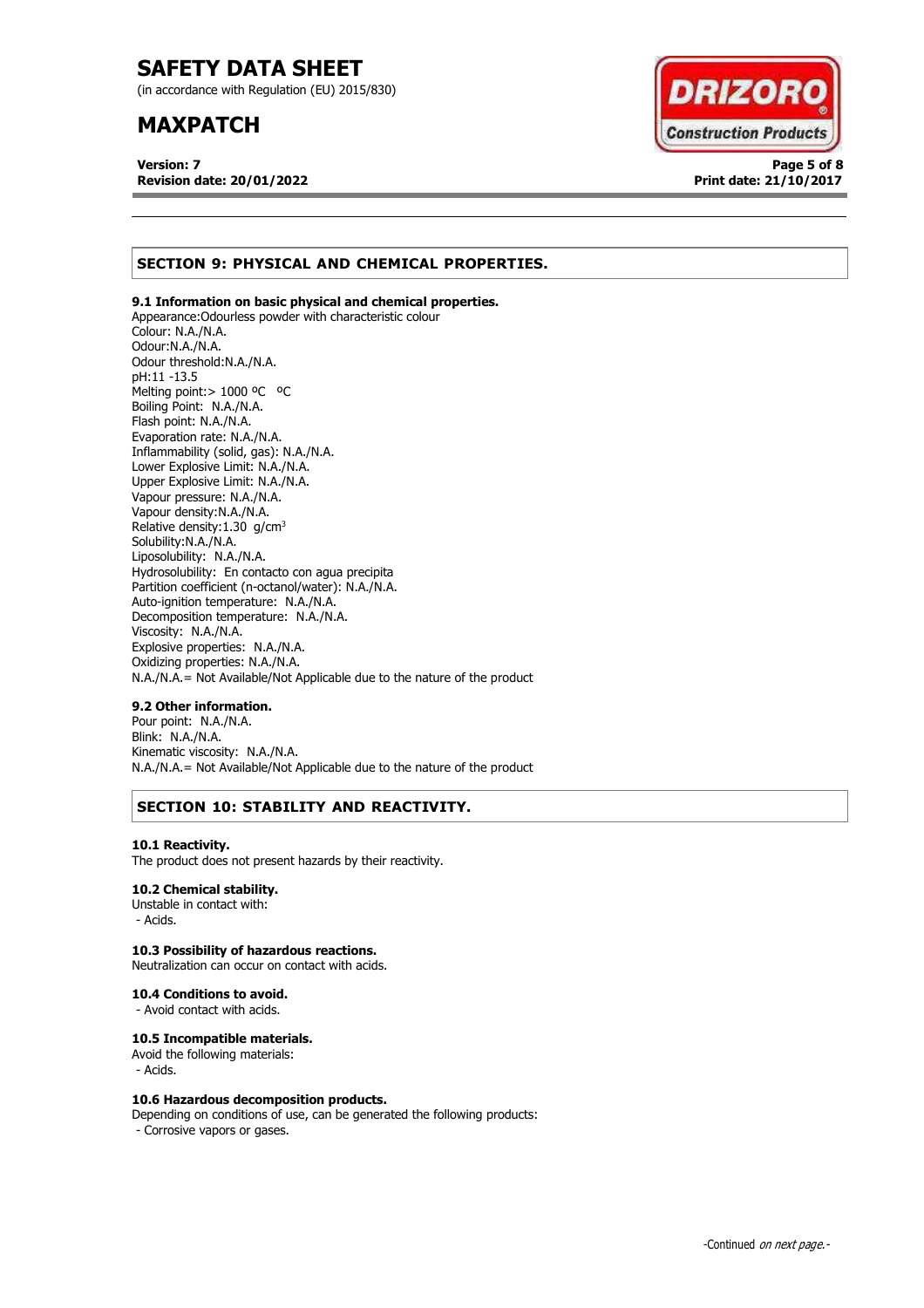(in accordance with Regulation (EU) 2015/830)

## **MAXPATCH**

**Version: 7 Page 5 of 8 Revision date: 20/01/2022 Print date: 21/10/2017**



## **SECTION 9: PHYSICAL AND CHEMICAL PROPERTIES.**

## **9.1 Information on basic physical and chemical properties.**

Appearance:Odourless powder with characteristic colour Colour: N.A./N.A. Odour:N.A./N.A. Odour threshold:N.A./N.A. pH:11 -13.5 Melting point: > 1000 °C °C Boiling Point: N.A./N.A. Flash point: N.A./N.A. Evaporation rate: N.A./N.A. Inflammability (solid, gas): N.A./N.A. Lower Explosive Limit: N.A./N.A. Upper Explosive Limit: N.A./N.A. Vapour pressure: N.A./N.A. Vapour density:N.A./N.A. Relative density:  $1.30$  g/cm<sup>3</sup> Solubility:N.A./N.A. Liposolubility: N.A./N.A. Hydrosolubility: En contacto con agua precipita Partition coefficient (n-octanol/water): N.A./N.A. Auto-ignition temperature: N.A./N.A. Decomposition temperature: N.A./N.A. Viscosity: N.A./N.A. Explosive properties: N.A./N.A. Oxidizing properties: N.A./N.A. N.A./N.A.= Not Available/Not Applicable due to the nature of the product

### **9.2 Other information.**

Pour point: N.A./N.A. Blink: N.A./N.A. Kinematic viscosity: N.A./N.A. N.A./N.A.= Not Available/Not Applicable due to the nature of the product

## **SECTION 10: STABILITY AND REACTIVITY.**

#### **10.1 Reactivity.**

The product does not present hazards by their reactivity.

## **10.2 Chemical stability.**

Unstable in contact with: - Acids.

## **10.3 Possibility of hazardous reactions.**

Neutralization can occur on contact with acids.

### **10.4 Conditions to avoid.**

- Avoid contact with acids.

### **10.5 Incompatible materials.**

Avoid the following materials: - Acids.

### **10.6 Hazardous decomposition products.**

Depending on conditions of use, can be generated the following products: - Corrosive vapors or gases.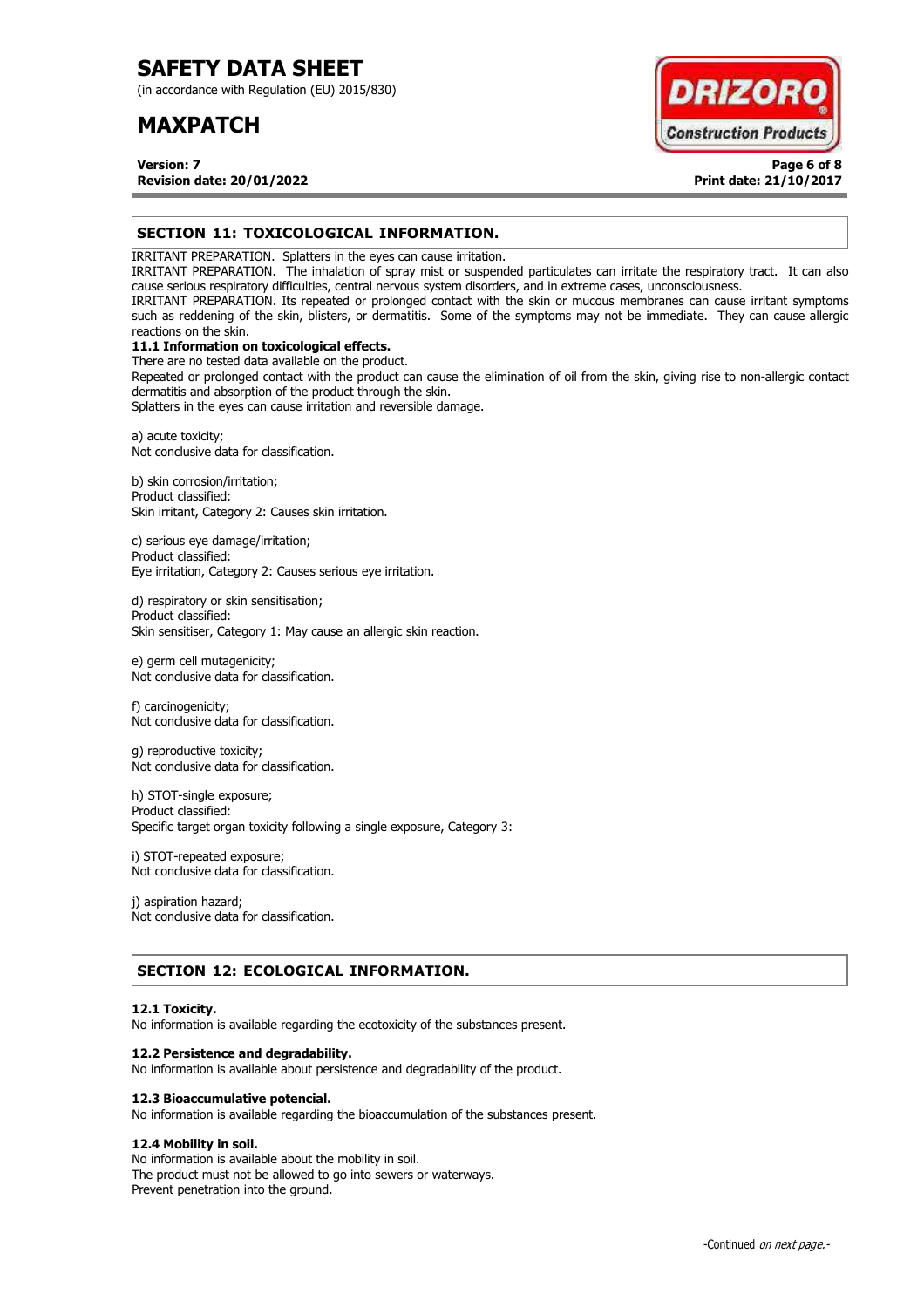(in accordance with Regulation (EU) 2015/830)

## **MAXPATCH**

**DRIZOR Construction Products** 

**Version: 7 Page 6 of 8 Revision date: 20/01/2022 Print date: 21/10/2017**

## **SECTION 11: TOXICOLOGICAL INFORMATION.**

IRRITANT PREPARATION. Splatters in the eyes can cause irritation.

IRRITANT PREPARATION. The inhalation of spray mist or suspended particulates can irritate the respiratory tract. It can also cause serious respiratory difficulties, central nervous system disorders, and in extreme cases, unconsciousness.

IRRITANT PREPARATION. Its repeated or prolonged contact with the skin or mucous membranes can cause irritant symptoms such as reddening of the skin, blisters, or dermatitis. Some of the symptoms may not be immediate. They can cause allergic reactions on the skin.

## **11.1 Information on toxicological effects.**

There are no tested data available on the product. Repeated or prolonged contact with the product can cause the elimination of oil from the skin, giving rise to non-allergic contact dermatitis and absorption of the product through the skin.

Splatters in the eyes can cause irritation and reversible damage.

a) acute toxicity; Not conclusive data for classification.

b) skin corrosion/irritation; Product classified: Skin irritant, Category 2: Causes skin irritation.

c) serious eye damage/irritation; Product classified: Eye irritation, Category 2: Causes serious eye irritation.

d) respiratory or skin sensitisation; Product classified: Skin sensitiser, Category 1: May cause an allergic skin reaction.

e) germ cell mutagenicity; Not conclusive data for classification.

f) carcinogenicity; Not conclusive data for classification.

g) reproductive toxicity; Not conclusive data for classification.

h) STOT-single exposure; Product classified: Specific target organ toxicity following a single exposure, Category 3:

i) STOT-repeated exposure; Not conclusive data for classification.

j) aspiration hazard; Not conclusive data for classification.

## **SECTION 12: ECOLOGICAL INFORMATION.**

### **12.1 Toxicity.**

No information is available regarding the ecotoxicity of the substances present.

### **12.2 Persistence and degradability.**

No information is available about persistence and degradability of the product.

### **12.3 Bioaccumulative potencial.**

No information is available regarding the bioaccumulation of the substances present.

## **12.4 Mobility in soil.**

No information is available about the mobility in soil. The product must not be allowed to go into sewers or waterways. Prevent penetration into the ground.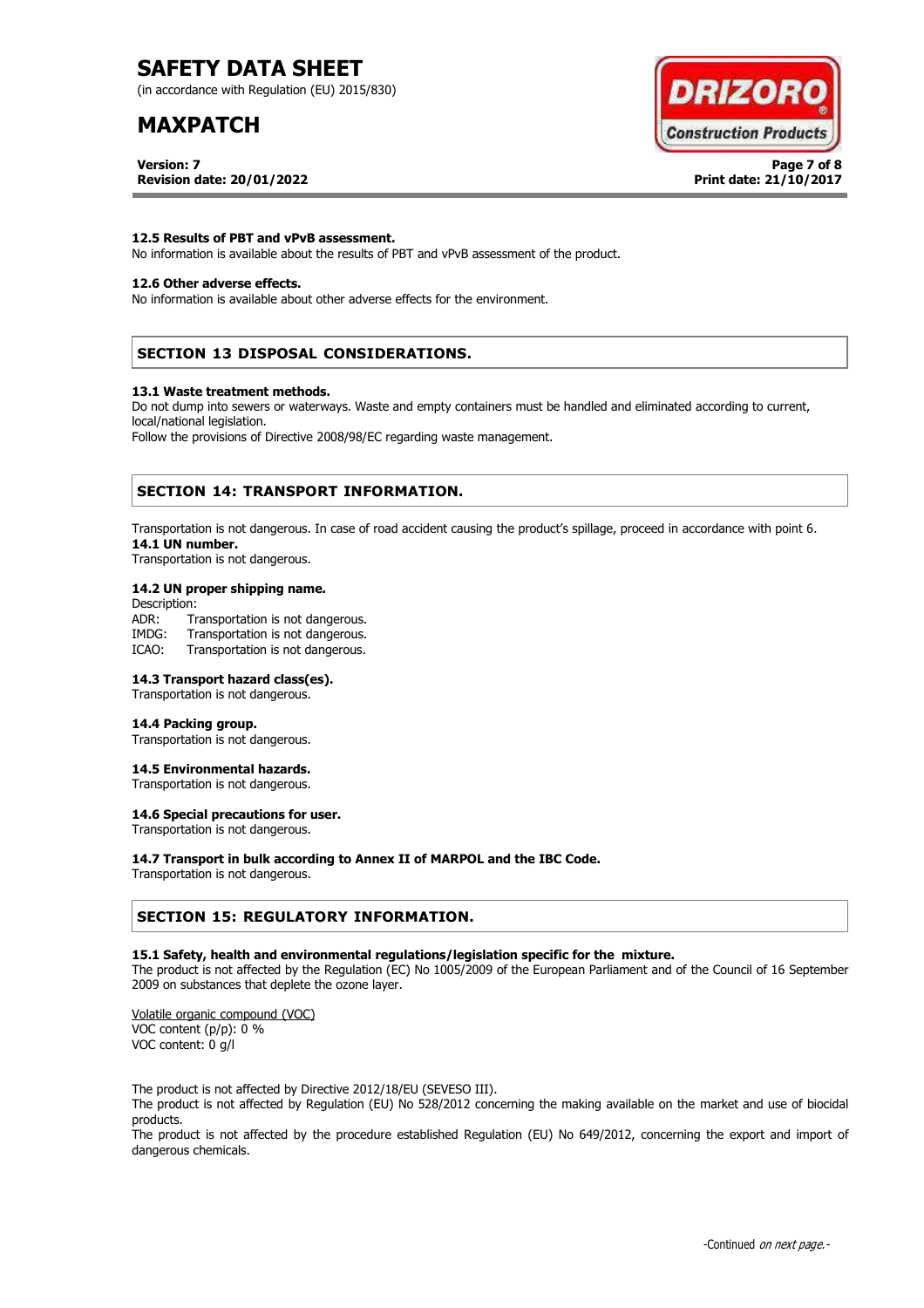(in accordance with Regulation (EU) 2015/830)

## **MAXPATCH**

**Version: 7 Page 7 of 8** 



**Revision date: 20/01/2022 Print date: 21/10/2017**

### **12.5 Results of PBT and vPvB assessment.**

No information is available about the results of PBT and vPvB assessment of the product.

## **12.6 Other adverse effects.**

No information is available about other adverse effects for the environment.

## **SECTION 13 DISPOSAL CONSIDERATIONS.**

#### **13.1 Waste treatment methods.**

Do not dump into sewers or waterways. Waste and empty containers must be handled and eliminated according to current, local/national legislation.

Follow the provisions of Directive 2008/98/EC regarding waste management.

## **SECTION 14: TRANSPORT INFORMATION.**

Transportation is not dangerous. In case of road accident causing the product's spillage, proceed in accordance with point 6. **14.1 UN number.**

Transportation is not dangerous.

### **14.2 UN proper shipping name.**

Description: ADR: Transportation is not dangerous.<br>IMDG: Transportation is not dangerous. Transportation is not dangerous. ICAO: Transportation is not dangerous.

## **14.3 Transport hazard class(es).**

Transportation is not dangerous.

### **14.4 Packing group.**

Transportation is not dangerous.

### **14.5 Environmental hazards.**

Transportation is not dangerous.

## **14.6 Special precautions for user.**

Transportation is not dangerous.

### **14.7 Transport in bulk according to Annex II of MARPOL and the IBC Code.**

Transportation is not dangerous.

## **SECTION 15: REGULATORY INFORMATION.**

### **15.1 Safety, health and environmental regulations/legislation specific for the mixture.**

The product is not affected by the Regulation (EC) No 1005/2009 of the European Parliament and of the Council of 16 September 2009 on substances that deplete the ozone layer.

Volatile organic compound (VOC) VOC content (p/p): 0 % VOC content: 0 g/l

The product is not affected by Directive 2012/18/EU (SEVESO III).

The product is not affected by Regulation (EU) No 528/2012 concerning the making available on the market and use of biocidal products.

The product is not affected by the procedure established Regulation (EU) No 649/2012, concerning the export and import of dangerous chemicals.